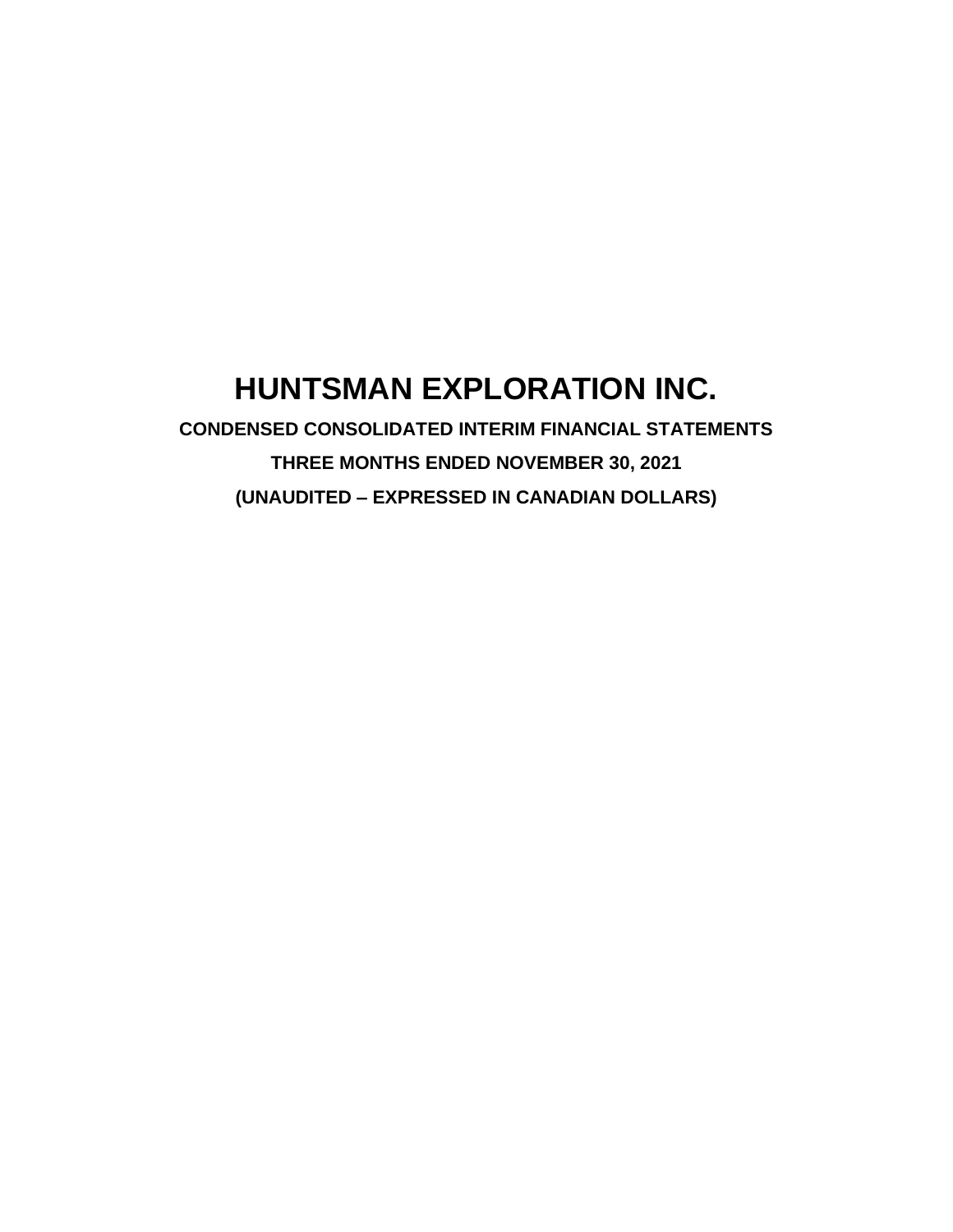# **HUNTSMAN EXPLORATION INC.**

**CONDENSED CONSOLIDATED INTERIM FINANCIAL STATEMENTS THREE MONTHS ENDED NOVEMBER 30, 2021 (UNAUDITED – EXPRESSED IN CANADIAN DOLLARS)**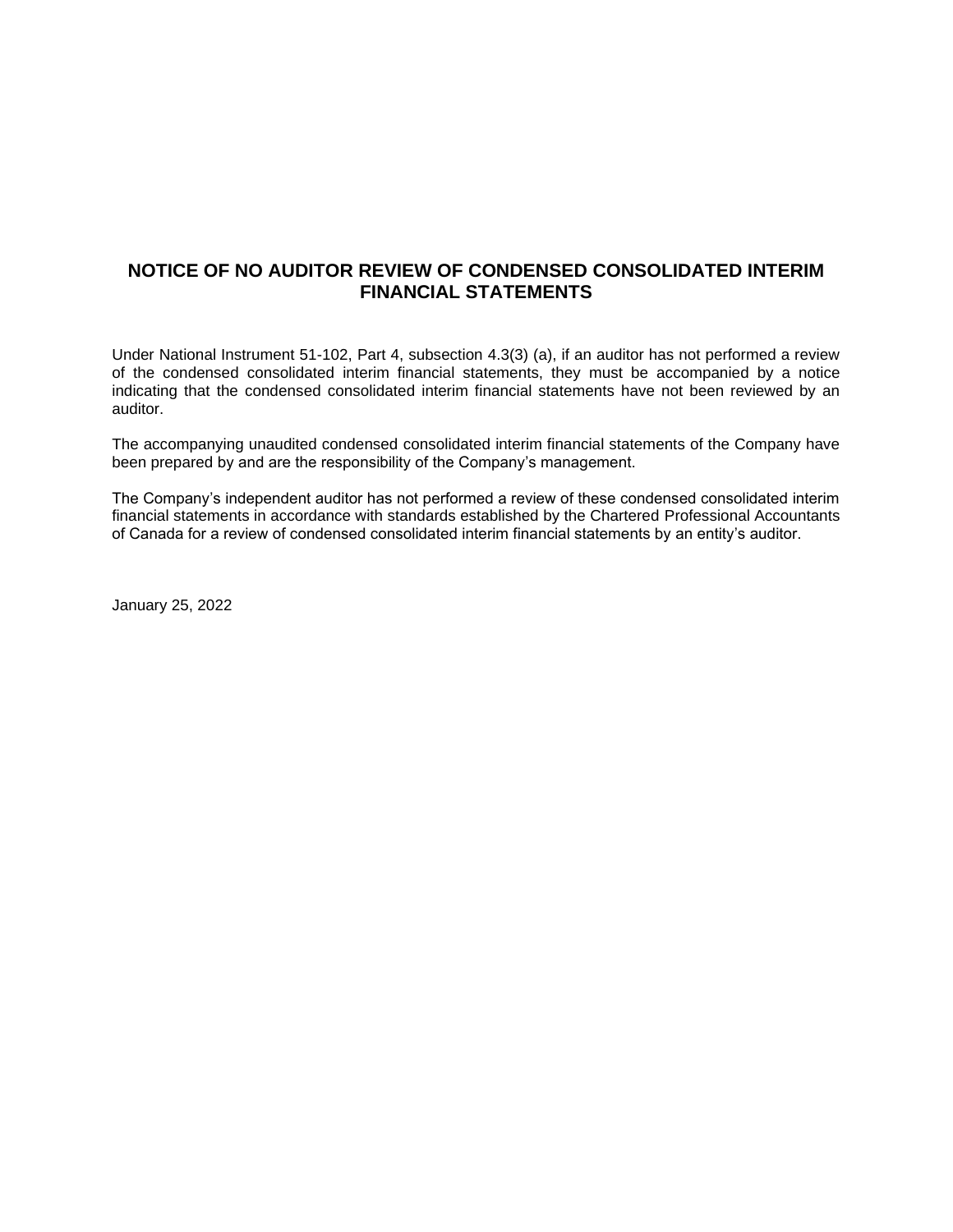# **NOTICE OF NO AUDITOR REVIEW OF CONDENSED CONSOLIDATED INTERIM FINANCIAL STATEMENTS**

Under National Instrument 51-102, Part 4, subsection 4.3(3) (a), if an auditor has not performed a review of the condensed consolidated interim financial statements, they must be accompanied by a notice indicating that the condensed consolidated interim financial statements have not been reviewed by an auditor.

The accompanying unaudited condensed consolidated interim financial statements of the Company have been prepared by and are the responsibility of the Company's management.

The Company's independent auditor has not performed a review of these condensed consolidated interim financial statements in accordance with standards established by the Chartered Professional Accountants of Canada for a review of condensed consolidated interim financial statements by an entity's auditor.

January 25, 2022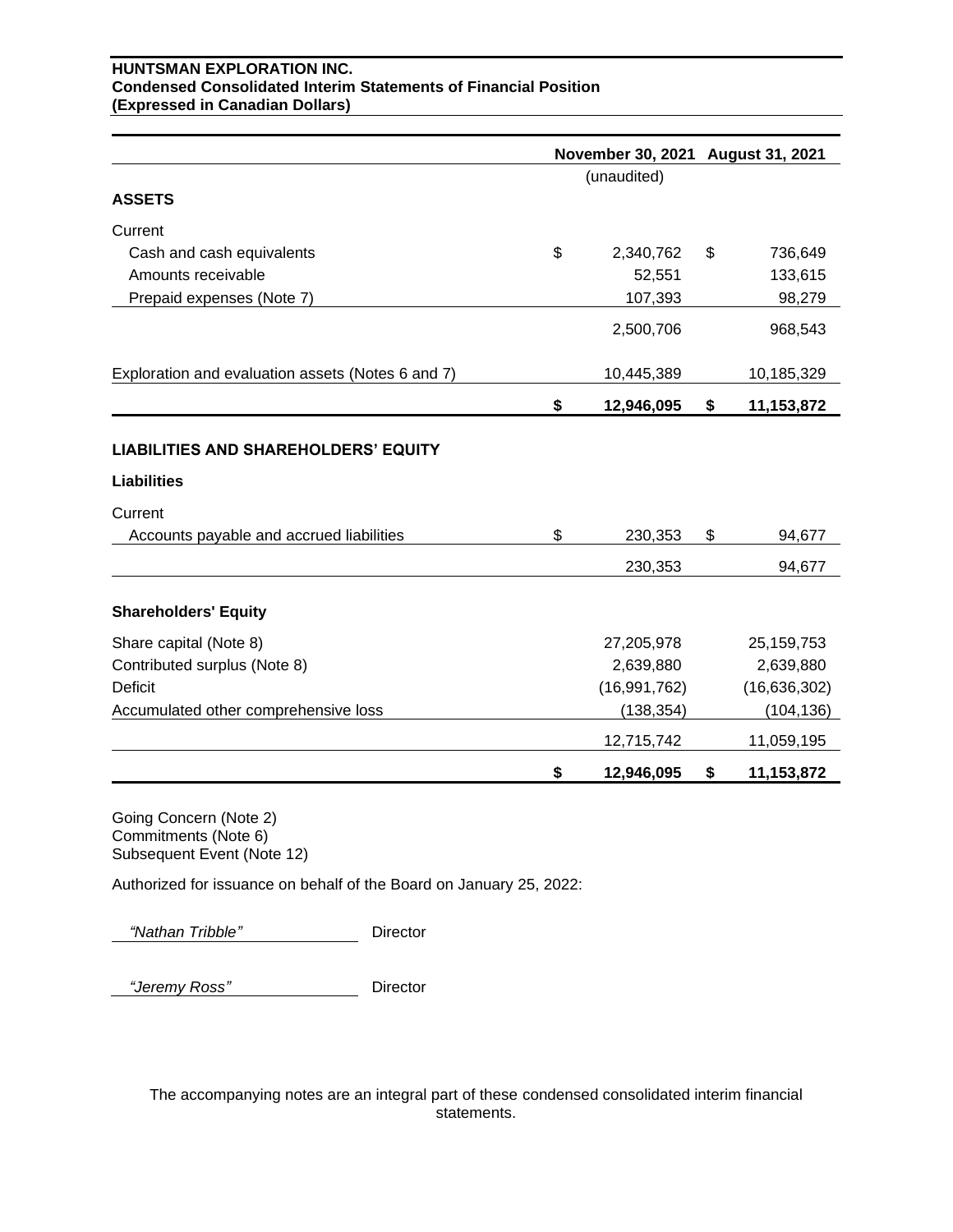## **HUNTSMAN EXPLORATION INC. Condensed Consolidated Interim Statements of Financial Position (Expressed in Canadian Dollars)**

|                                                                   | November 30, 2021 August 31, 2021 |    |                |
|-------------------------------------------------------------------|-----------------------------------|----|----------------|
|                                                                   | (unaudited)                       |    |                |
| <b>ASSETS</b>                                                     |                                   |    |                |
| Current                                                           |                                   |    |                |
| Cash and cash equivalents                                         | \$<br>2,340,762                   | \$ | 736,649        |
| Amounts receivable                                                | 52,551                            |    | 133,615        |
| Prepaid expenses (Note 7)                                         | 107,393                           |    | 98,279         |
|                                                                   | 2,500,706                         |    | 968,543        |
| Exploration and evaluation assets (Notes 6 and 7)                 | 10,445,389                        |    | 10,185,329     |
|                                                                   | \$<br>12,946,095                  | \$ | 11,153,872     |
| <b>LIABILITIES AND SHAREHOLDERS' EQUITY</b><br><b>Liabilities</b> |                                   |    |                |
| Current                                                           |                                   |    |                |
| Accounts payable and accrued liabilities                          | \$<br>230,353                     | \$ | 94,677         |
|                                                                   | 230,353                           |    | 94,677         |
| <b>Shareholders' Equity</b>                                       |                                   |    |                |
| Share capital (Note 8)                                            | 27,205,978                        |    | 25, 159, 753   |
| Contributed surplus (Note 8)                                      | 2,639,880                         |    | 2,639,880      |
| <b>Deficit</b>                                                    | (16, 991, 762)                    |    | (16, 636, 302) |
| Accumulated other comprehensive loss                              | (138, 354)                        |    | (104, 136)     |
|                                                                   | 12,715,742                        |    | 11,059,195     |
|                                                                   | \$<br>12,946,095                  | \$ | 11,153,872     |

Going Concern (Note 2) Commitments (Note 6) Subsequent Event (Note 12)

Authorized for issuance on behalf of the Board on January 25, 2022:

 *"Nathan Tribble"* Director

 *"Jeremy Ross"* Director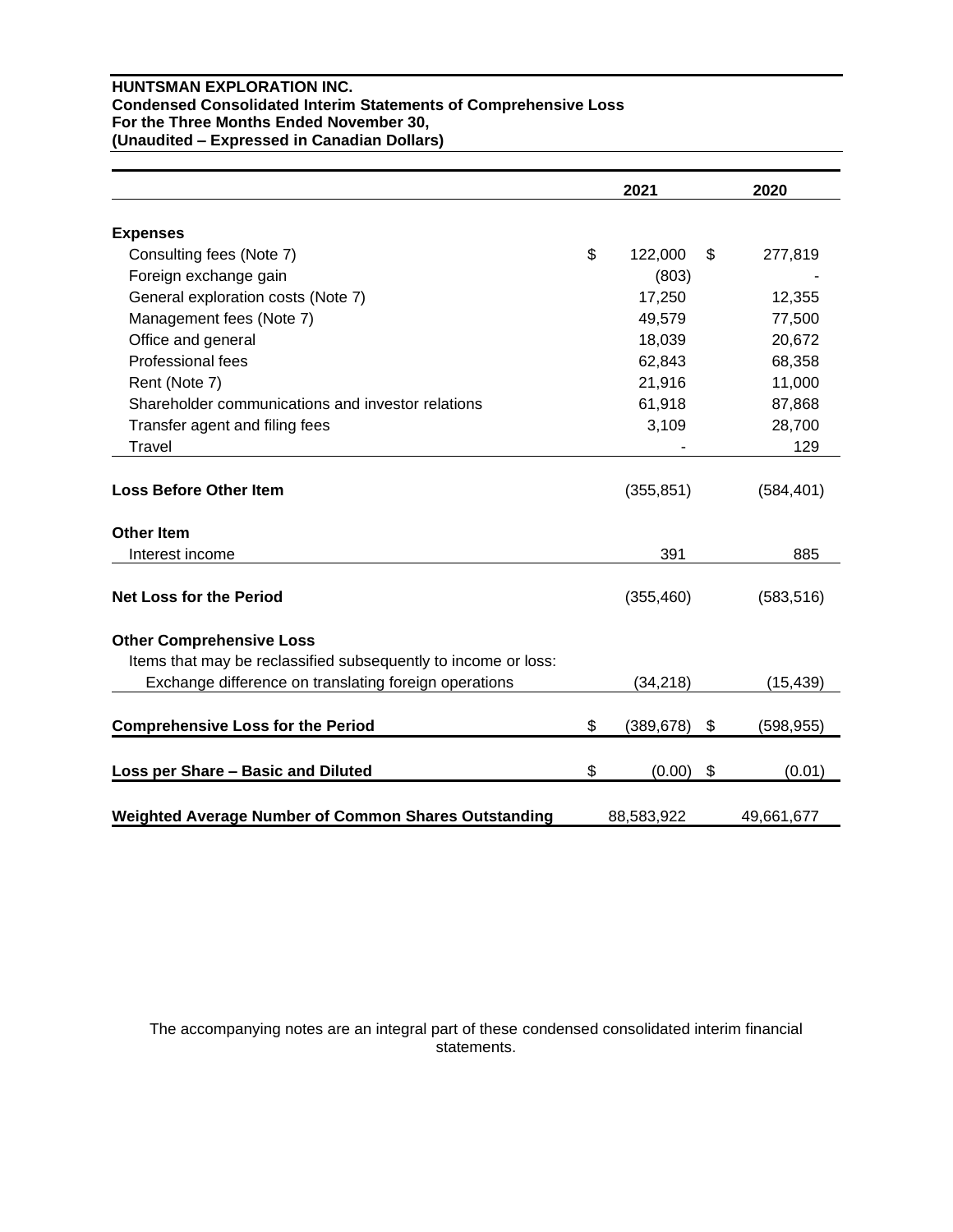## **HUNTSMAN EXPLORATION INC. Condensed Consolidated Interim Statements of Comprehensive Loss For the Three Months Ended November 30, (Unaudited – Expressed in Canadian Dollars)**

|                                                                | 2021             | 2020             |
|----------------------------------------------------------------|------------------|------------------|
| <b>Expenses</b>                                                |                  |                  |
| Consulting fees (Note 7)                                       | \$<br>122,000    | \$<br>277,819    |
| Foreign exchange gain                                          | (803)            |                  |
| General exploration costs (Note 7)                             | 17,250           | 12,355           |
| Management fees (Note 7)                                       | 49,579           | 77,500           |
| Office and general                                             | 18,039           | 20,672           |
| Professional fees                                              | 62,843           | 68,358           |
| Rent (Note 7)                                                  | 21,916           | 11,000           |
| Shareholder communications and investor relations              | 61,918           | 87,868           |
| Transfer agent and filing fees                                 | 3,109            | 28,700           |
| Travel                                                         |                  | 129              |
| <b>Loss Before Other Item</b>                                  | (355, 851)       | (584, 401)       |
| <b>Other Item</b>                                              |                  |                  |
| Interest income                                                | 391              | 885              |
| <b>Net Loss for the Period</b>                                 | (355, 460)       | (583, 516)       |
| <b>Other Comprehensive Loss</b>                                |                  |                  |
| Items that may be reclassified subsequently to income or loss: |                  |                  |
| Exchange difference on translating foreign operations          | (34, 218)        | (15, 439)        |
| <b>Comprehensive Loss for the Period</b>                       | \$<br>(389, 678) | \$<br>(598, 955) |
| Loss per Share - Basic and Diluted                             | \$<br>(0.00)     | \$<br>(0.01)     |
| <b>Weighted Average Number of Common Shares Outstanding</b>    | 88,583,922       | 49,661,677       |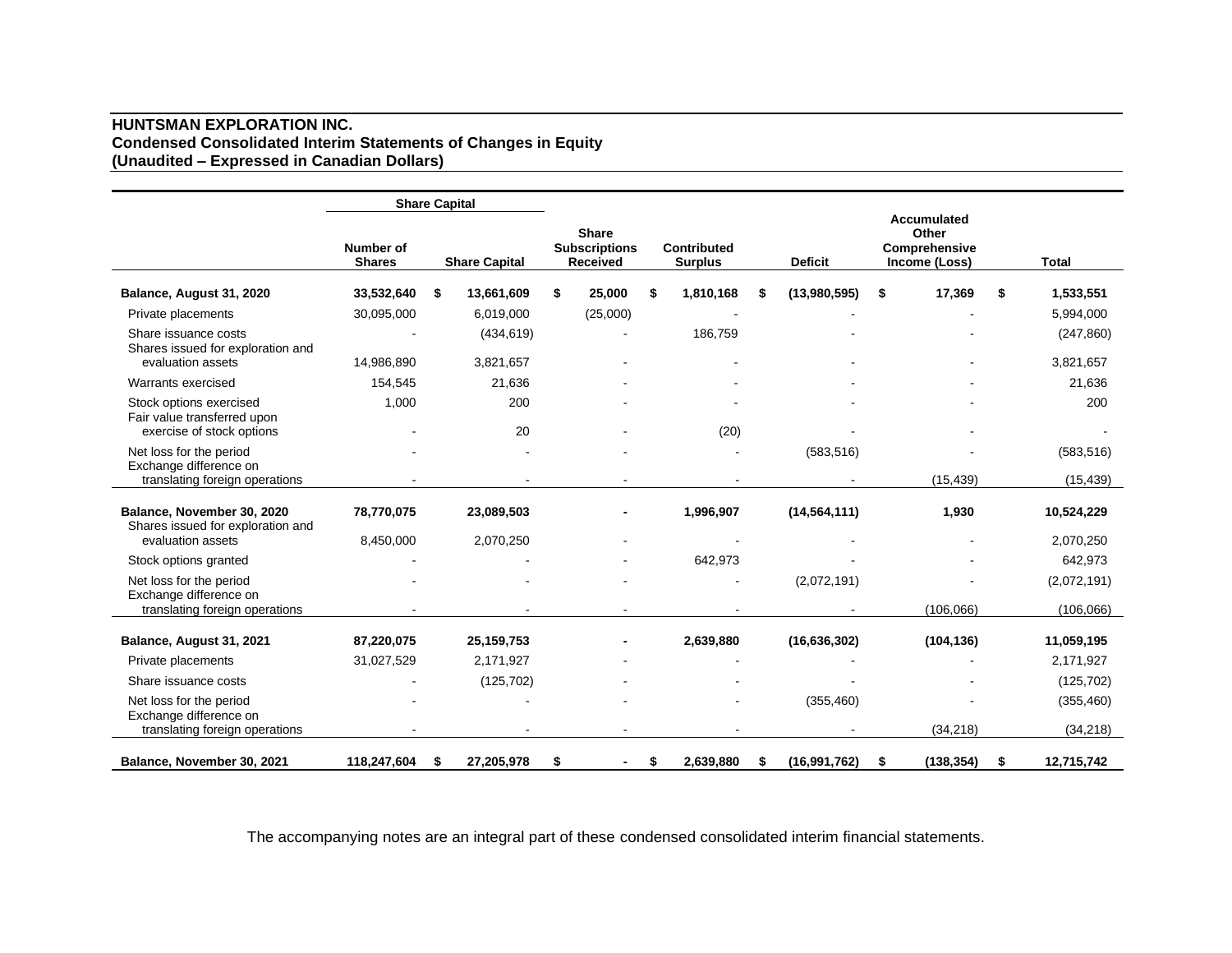## **HUNTSMAN EXPLORATION INC. Condensed Consolidated Interim Statements of Changes in Equity (Unaudited – Expressed in Canadian Dollars)**

|                                                                 | <b>Share Capital</b>       |    |                      |                                                  |    |                               |   |                |    |                                                        |    |              |
|-----------------------------------------------------------------|----------------------------|----|----------------------|--------------------------------------------------|----|-------------------------------|---|----------------|----|--------------------------------------------------------|----|--------------|
|                                                                 | Number of<br><b>Shares</b> |    | <b>Share Capital</b> | <b>Share</b><br><b>Subscriptions</b><br>Received |    | Contributed<br><b>Surplus</b> |   | <b>Deficit</b> |    | Accumulated<br>Other<br>Comprehensive<br>Income (Loss) |    | <b>Total</b> |
| Balance, August 31, 2020                                        | 33,532,640                 | \$ | 13,661,609           | \$<br>25,000                                     | S  | 1,810,168                     | S | (13,980,595)   | \$ | 17,369                                                 | \$ | 1,533,551    |
| Private placements                                              | 30,095,000                 |    | 6,019,000            | (25,000)                                         |    |                               |   |                |    |                                                        |    | 5,994,000    |
| Share issuance costs<br>Shares issued for exploration and       |                            |    | (434, 619)           |                                                  |    | 186,759                       |   |                |    |                                                        |    | (247, 860)   |
| evaluation assets                                               | 14,986,890                 |    | 3,821,657            |                                                  |    |                               |   |                |    |                                                        |    | 3,821,657    |
| Warrants exercised                                              | 154,545                    |    | 21,636               |                                                  |    |                               |   |                |    |                                                        |    | 21,636       |
| Stock options exercised<br>Fair value transferred upon          | 1,000                      |    | 200                  |                                                  |    |                               |   |                |    |                                                        |    | 200          |
| exercise of stock options                                       |                            |    | 20                   |                                                  |    | (20)                          |   |                |    |                                                        |    |              |
| Net loss for the period<br>Exchange difference on               |                            |    |                      |                                                  |    |                               |   | (583, 516)     |    |                                                        |    | (583, 516)   |
| translating foreign operations                                  |                            |    |                      |                                                  |    |                               |   |                |    | (15, 439)                                              |    | (15, 439)    |
| Balance, November 30, 2020<br>Shares issued for exploration and | 78,770,075                 |    | 23,089,503           |                                                  |    | 1,996,907                     |   | (14, 564, 111) |    | 1,930                                                  |    | 10,524,229   |
| evaluation assets                                               | 8,450,000                  |    | 2,070,250            |                                                  |    |                               |   |                |    |                                                        |    | 2,070,250    |
| Stock options granted                                           |                            |    |                      |                                                  |    | 642,973                       |   |                |    |                                                        |    | 642,973      |
| Net loss for the period<br>Exchange difference on               |                            |    |                      |                                                  |    |                               |   | (2,072,191)    |    |                                                        |    | (2,072,191)  |
| translating foreign operations                                  |                            |    |                      |                                                  |    |                               |   |                |    | (106, 066)                                             |    | (106, 066)   |
| Balance, August 31, 2021                                        | 87,220,075                 |    | 25,159,753           |                                                  |    | 2,639,880                     |   | (16,636,302)   |    | (104, 136)                                             |    | 11,059,195   |
| Private placements                                              | 31,027,529                 |    | 2,171,927            |                                                  |    |                               |   |                |    |                                                        |    | 2,171,927    |
| Share issuance costs                                            |                            |    | (125, 702)           |                                                  |    |                               |   |                |    |                                                        |    | (125, 702)   |
| Net loss for the period<br>Exchange difference on               |                            |    |                      |                                                  |    |                               |   | (355, 460)     |    |                                                        |    | (355, 460)   |
| translating foreign operations                                  |                            |    |                      |                                                  |    |                               |   |                |    | (34, 218)                                              |    | (34, 218)    |
| Balance, November 30, 2021                                      | 118,247,604                | S  | 27,205,978           |                                                  | S. | 2,639,880                     | S | (16, 991, 762) | S  | (138, 354)                                             | S. | 12,715,742   |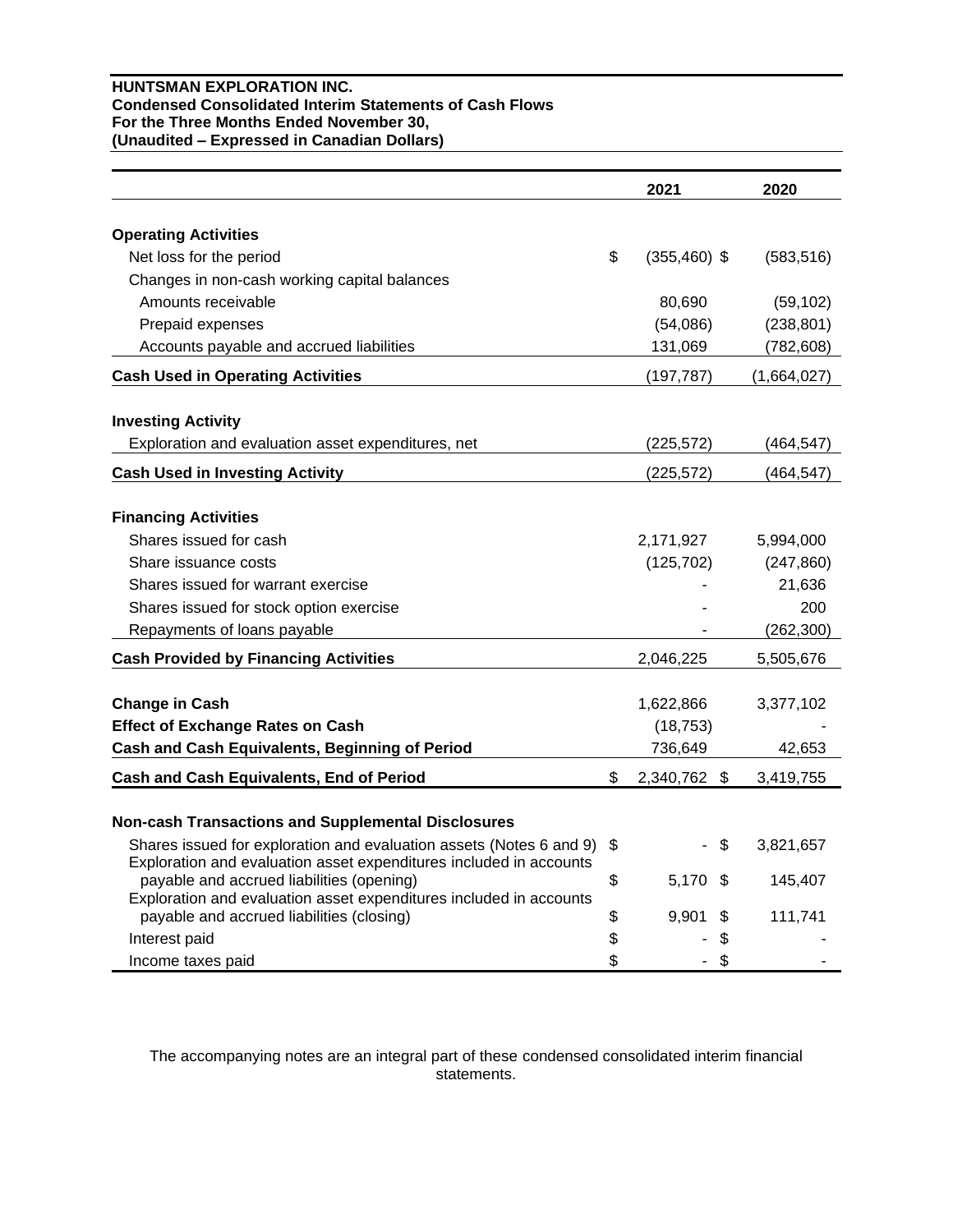## **HUNTSMAN EXPLORATION INC. Condensed Consolidated Interim Statements of Cash Flows For the Three Months Ended November 30, (Unaudited – Expressed in Canadian Dollars)**

|                                                                                                                                           |    | 2021            | 2020        |
|-------------------------------------------------------------------------------------------------------------------------------------------|----|-----------------|-------------|
| <b>Operating Activities</b>                                                                                                               |    |                 |             |
| Net loss for the period                                                                                                                   | \$ | $(355, 460)$ \$ | (583, 516)  |
| Changes in non-cash working capital balances                                                                                              |    |                 |             |
| Amounts receivable                                                                                                                        |    | 80,690          | (59, 102)   |
| Prepaid expenses                                                                                                                          |    | (54,086)        | (238, 801)  |
| Accounts payable and accrued liabilities                                                                                                  |    | 131,069         | (782, 608)  |
| <b>Cash Used in Operating Activities</b>                                                                                                  |    | (197, 787)      | (1,664,027) |
| <b>Investing Activity</b>                                                                                                                 |    |                 |             |
| Exploration and evaluation asset expenditures, net                                                                                        |    | (225, 572)      | (464, 547)  |
| <b>Cash Used in Investing Activity</b>                                                                                                    |    | (225, 572)      | (464, 547)  |
|                                                                                                                                           |    |                 |             |
| <b>Financing Activities</b>                                                                                                               |    |                 |             |
| Shares issued for cash                                                                                                                    |    | 2,171,927       | 5,994,000   |
| Share issuance costs                                                                                                                      |    | (125, 702)      | (247, 860)  |
| Shares issued for warrant exercise                                                                                                        |    |                 | 21,636      |
| Shares issued for stock option exercise                                                                                                   |    |                 | 200         |
| Repayments of loans payable                                                                                                               |    |                 | (262, 300)  |
| <b>Cash Provided by Financing Activities</b>                                                                                              |    | 2,046,225       | 5,505,676   |
| <b>Change in Cash</b>                                                                                                                     |    | 1,622,866       | 3,377,102   |
| <b>Effect of Exchange Rates on Cash</b>                                                                                                   |    | (18, 753)       |             |
| Cash and Cash Equivalents, Beginning of Period                                                                                            |    | 736,649         | 42,653      |
| Cash and Cash Equivalents, End of Period                                                                                                  | \$ | 2,340,762 \$    | 3,419,755   |
|                                                                                                                                           |    |                 |             |
| <b>Non-cash Transactions and Supplemental Disclosures</b>                                                                                 |    |                 |             |
| Shares issued for exploration and evaluation assets (Notes 6 and 9)<br>Exploration and evaluation asset expenditures included in accounts | S  | \$              | 3,821,657   |
| payable and accrued liabilities (opening)<br>Exploration and evaluation asset expenditures included in accounts                           | \$ | \$<br>5,170     | 145,407     |
| payable and accrued liabilities (closing)                                                                                                 | \$ | 9,901<br>S      | 111,741     |
| Interest paid                                                                                                                             | \$ | \$              |             |
| Income taxes paid                                                                                                                         | \$ | \$              |             |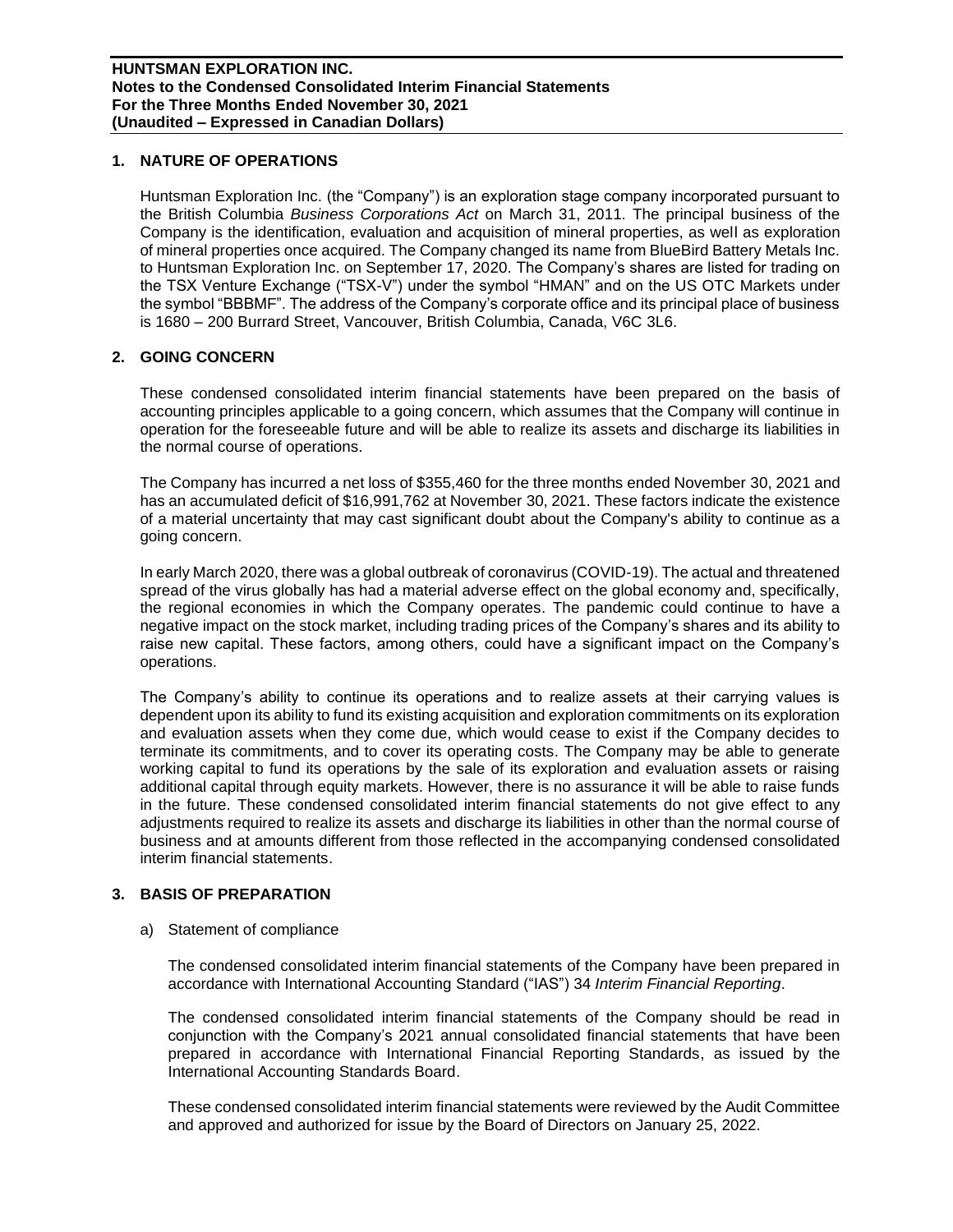#### **1. NATURE OF OPERATIONS**

Huntsman Exploration Inc. (the "Company") is an exploration stage company incorporated pursuant to the British Columbia *Business Corporations Act* on March 31, 2011. The principal business of the Company is the identification, evaluation and acquisition of mineral properties, as well as exploration of mineral properties once acquired. The Company changed its name from BlueBird Battery Metals Inc. to Huntsman Exploration Inc. on September 17, 2020. The Company's shares are listed for trading on the TSX Venture Exchange ("TSX-V") under the symbol "HMAN" and on the US OTC Markets under the symbol "BBBMF". The address of the Company's corporate office and its principal place of business is 1680 – 200 Burrard Street, Vancouver, British Columbia, Canada, V6C 3L6.

#### **2. GOING CONCERN**

These condensed consolidated interim financial statements have been prepared on the basis of accounting principles applicable to a going concern, which assumes that the Company will continue in operation for the foreseeable future and will be able to realize its assets and discharge its liabilities in the normal course of operations.

The Company has incurred a net loss of \$355,460 for the three months ended November 30, 2021 and has an accumulated deficit of \$16,991,762 at November 30, 2021. These factors indicate the existence of a material uncertainty that may cast significant doubt about the Company's ability to continue as a going concern.

In early March 2020, there was a global outbreak of coronavirus (COVID-19). The actual and threatened spread of the virus globally has had a material adverse effect on the global economy and, specifically, the regional economies in which the Company operates. The pandemic could continue to have a negative impact on the stock market, including trading prices of the Company's shares and its ability to raise new capital. These factors, among others, could have a significant impact on the Company's operations.

The Company's ability to continue its operations and to realize assets at their carrying values is dependent upon its ability to fund its existing acquisition and exploration commitments on its exploration and evaluation assets when they come due, which would cease to exist if the Company decides to terminate its commitments, and to cover its operating costs. The Company may be able to generate working capital to fund its operations by the sale of its exploration and evaluation assets or raising additional capital through equity markets. However, there is no assurance it will be able to raise funds in the future. These condensed consolidated interim financial statements do not give effect to any adjustments required to realize its assets and discharge its liabilities in other than the normal course of business and at amounts different from those reflected in the accompanying condensed consolidated interim financial statements.

## **3. BASIS OF PREPARATION**

a) Statement of compliance

The condensed consolidated interim financial statements of the Company have been prepared in accordance with International Accounting Standard ("IAS") 34 *Interim Financial Reporting*.

The condensed consolidated interim financial statements of the Company should be read in conjunction with the Company's 2021 annual consolidated financial statements that have been prepared in accordance with International Financial Reporting Standards, as issued by the International Accounting Standards Board.

These condensed consolidated interim financial statements were reviewed by the Audit Committee and approved and authorized for issue by the Board of Directors on January 25, 2022.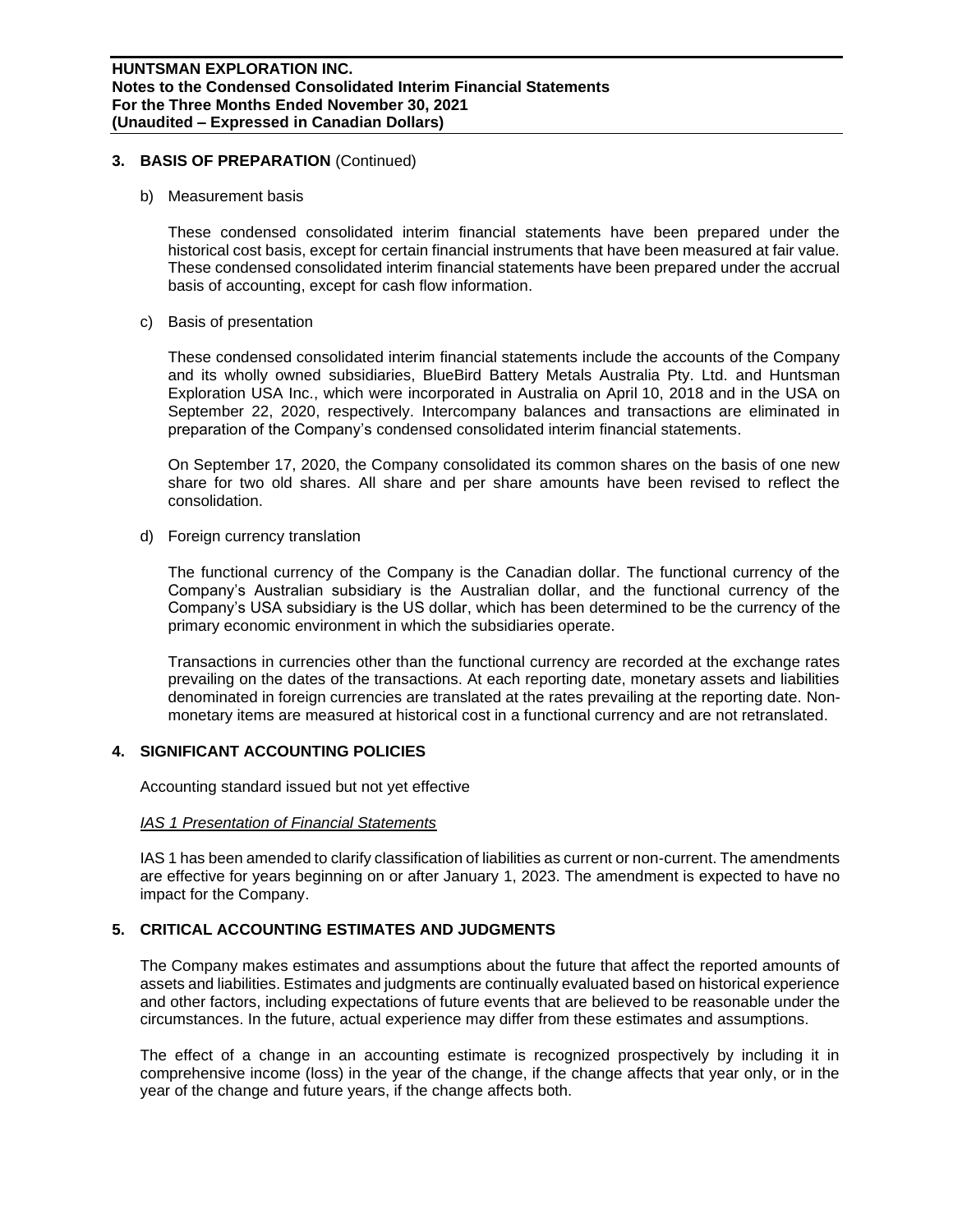## **3. BASIS OF PREPARATION** (Continued)

b) Measurement basis

These condensed consolidated interim financial statements have been prepared under the historical cost basis, except for certain financial instruments that have been measured at fair value. These condensed consolidated interim financial statements have been prepared under the accrual basis of accounting, except for cash flow information.

c) Basis of presentation

These condensed consolidated interim financial statements include the accounts of the Company and its wholly owned subsidiaries, BlueBird Battery Metals Australia Pty. Ltd. and Huntsman Exploration USA Inc., which were incorporated in Australia on April 10, 2018 and in the USA on September 22, 2020, respectively. Intercompany balances and transactions are eliminated in preparation of the Company's condensed consolidated interim financial statements.

On September 17, 2020, the Company consolidated its common shares on the basis of one new share for two old shares. All share and per share amounts have been revised to reflect the consolidation.

d) Foreign currency translation

The functional currency of the Company is the Canadian dollar. The functional currency of the Company's Australian subsidiary is the Australian dollar, and the functional currency of the Company's USA subsidiary is the US dollar, which has been determined to be the currency of the primary economic environment in which the subsidiaries operate.

Transactions in currencies other than the functional currency are recorded at the exchange rates prevailing on the dates of the transactions. At each reporting date, monetary assets and liabilities denominated in foreign currencies are translated at the rates prevailing at the reporting date. Nonmonetary items are measured at historical cost in a functional currency and are not retranslated.

### **4. SIGNIFICANT ACCOUNTING POLICIES**

Accounting standard issued but not yet effective

# *IAS 1 Presentation of Financial Statements*

IAS 1 has been amended to clarify classification of liabilities as current or non-current. The amendments are effective for years beginning on or after January 1, 2023. The amendment is expected to have no impact for the Company.

# **5. CRITICAL ACCOUNTING ESTIMATES AND JUDGMENTS**

The Company makes estimates and assumptions about the future that affect the reported amounts of assets and liabilities. Estimates and judgments are continually evaluated based on historical experience and other factors, including expectations of future events that are believed to be reasonable under the circumstances. In the future, actual experience may differ from these estimates and assumptions.

The effect of a change in an accounting estimate is recognized prospectively by including it in comprehensive income (loss) in the year of the change, if the change affects that year only, or in the year of the change and future years, if the change affects both.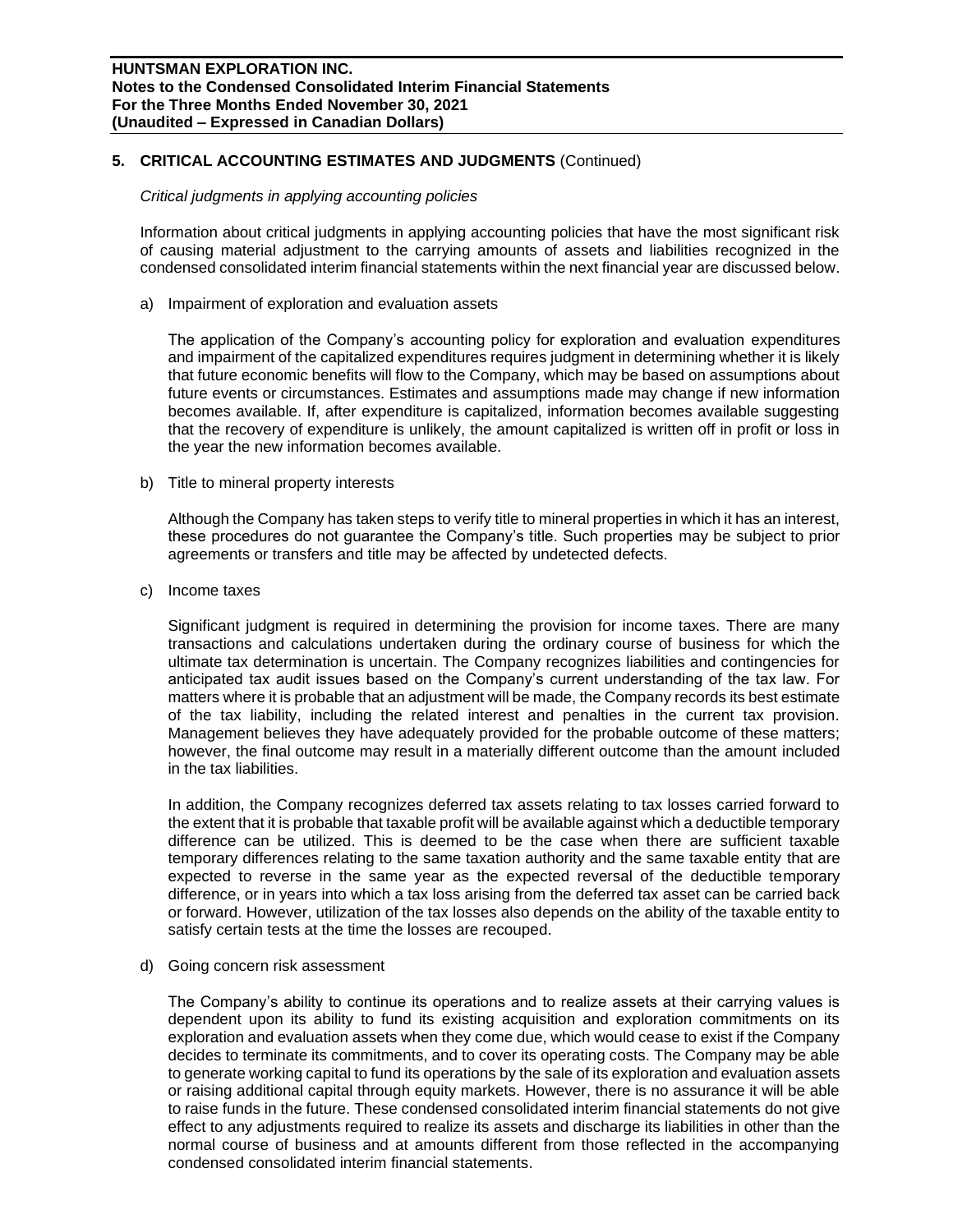## **5. CRITICAL ACCOUNTING ESTIMATES AND JUDGMENTS** (Continued)

#### *Critical judgments in applying accounting policies*

Information about critical judgments in applying accounting policies that have the most significant risk of causing material adjustment to the carrying amounts of assets and liabilities recognized in the condensed consolidated interim financial statements within the next financial year are discussed below.

a) Impairment of exploration and evaluation assets

The application of the Company's accounting policy for exploration and evaluation expenditures and impairment of the capitalized expenditures requires judgment in determining whether it is likely that future economic benefits will flow to the Company, which may be based on assumptions about future events or circumstances. Estimates and assumptions made may change if new information becomes available. If, after expenditure is capitalized, information becomes available suggesting that the recovery of expenditure is unlikely, the amount capitalized is written off in profit or loss in the year the new information becomes available.

b) Title to mineral property interests

Although the Company has taken steps to verify title to mineral properties in which it has an interest, these procedures do not guarantee the Company's title. Such properties may be subject to prior agreements or transfers and title may be affected by undetected defects.

c) Income taxes

Significant judgment is required in determining the provision for income taxes. There are many transactions and calculations undertaken during the ordinary course of business for which the ultimate tax determination is uncertain. The Company recognizes liabilities and contingencies for anticipated tax audit issues based on the Company's current understanding of the tax law. For matters where it is probable that an adjustment will be made, the Company records its best estimate of the tax liability, including the related interest and penalties in the current tax provision. Management believes they have adequately provided for the probable outcome of these matters; however, the final outcome may result in a materially different outcome than the amount included in the tax liabilities.

In addition, the Company recognizes deferred tax assets relating to tax losses carried forward to the extent that it is probable that taxable profit will be available against which a deductible temporary difference can be utilized. This is deemed to be the case when there are sufficient taxable temporary differences relating to the same taxation authority and the same taxable entity that are expected to reverse in the same year as the expected reversal of the deductible temporary difference, or in years into which a tax loss arising from the deferred tax asset can be carried back or forward. However, utilization of the tax losses also depends on the ability of the taxable entity to satisfy certain tests at the time the losses are recouped.

d) Going concern risk assessment

The Company's ability to continue its operations and to realize assets at their carrying values is dependent upon its ability to fund its existing acquisition and exploration commitments on its exploration and evaluation assets when they come due, which would cease to exist if the Company decides to terminate its commitments, and to cover its operating costs. The Company may be able to generate working capital to fund its operations by the sale of its exploration and evaluation assets or raising additional capital through equity markets. However, there is no assurance it will be able to raise funds in the future. These condensed consolidated interim financial statements do not give effect to any adjustments required to realize its assets and discharge its liabilities in other than the normal course of business and at amounts different from those reflected in the accompanying condensed consolidated interim financial statements.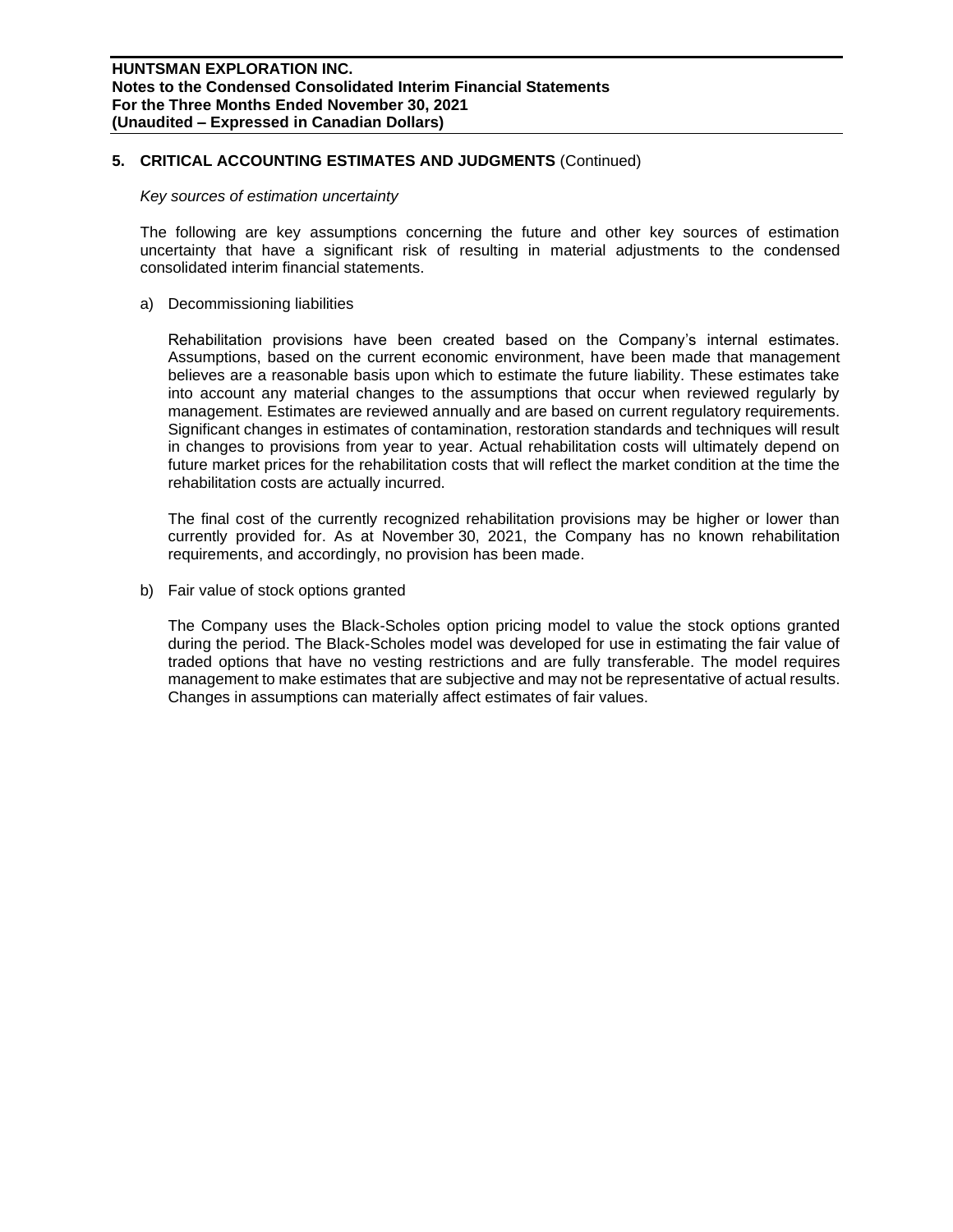#### **5. CRITICAL ACCOUNTING ESTIMATES AND JUDGMENTS** (Continued)

#### *Key sources of estimation uncertainty*

The following are key assumptions concerning the future and other key sources of estimation uncertainty that have a significant risk of resulting in material adjustments to the condensed consolidated interim financial statements.

#### a) Decommissioning liabilities

Rehabilitation provisions have been created based on the Company's internal estimates. Assumptions, based on the current economic environment, have been made that management believes are a reasonable basis upon which to estimate the future liability. These estimates take into account any material changes to the assumptions that occur when reviewed regularly by management. Estimates are reviewed annually and are based on current regulatory requirements. Significant changes in estimates of contamination, restoration standards and techniques will result in changes to provisions from year to year. Actual rehabilitation costs will ultimately depend on future market prices for the rehabilitation costs that will reflect the market condition at the time the rehabilitation costs are actually incurred.

The final cost of the currently recognized rehabilitation provisions may be higher or lower than currently provided for. As at November 30, 2021, the Company has no known rehabilitation requirements, and accordingly, no provision has been made.

b) Fair value of stock options granted

The Company uses the Black-Scholes option pricing model to value the stock options granted during the period. The Black-Scholes model was developed for use in estimating the fair value of traded options that have no vesting restrictions and are fully transferable. The model requires management to make estimates that are subjective and may not be representative of actual results. Changes in assumptions can materially affect estimates of fair values.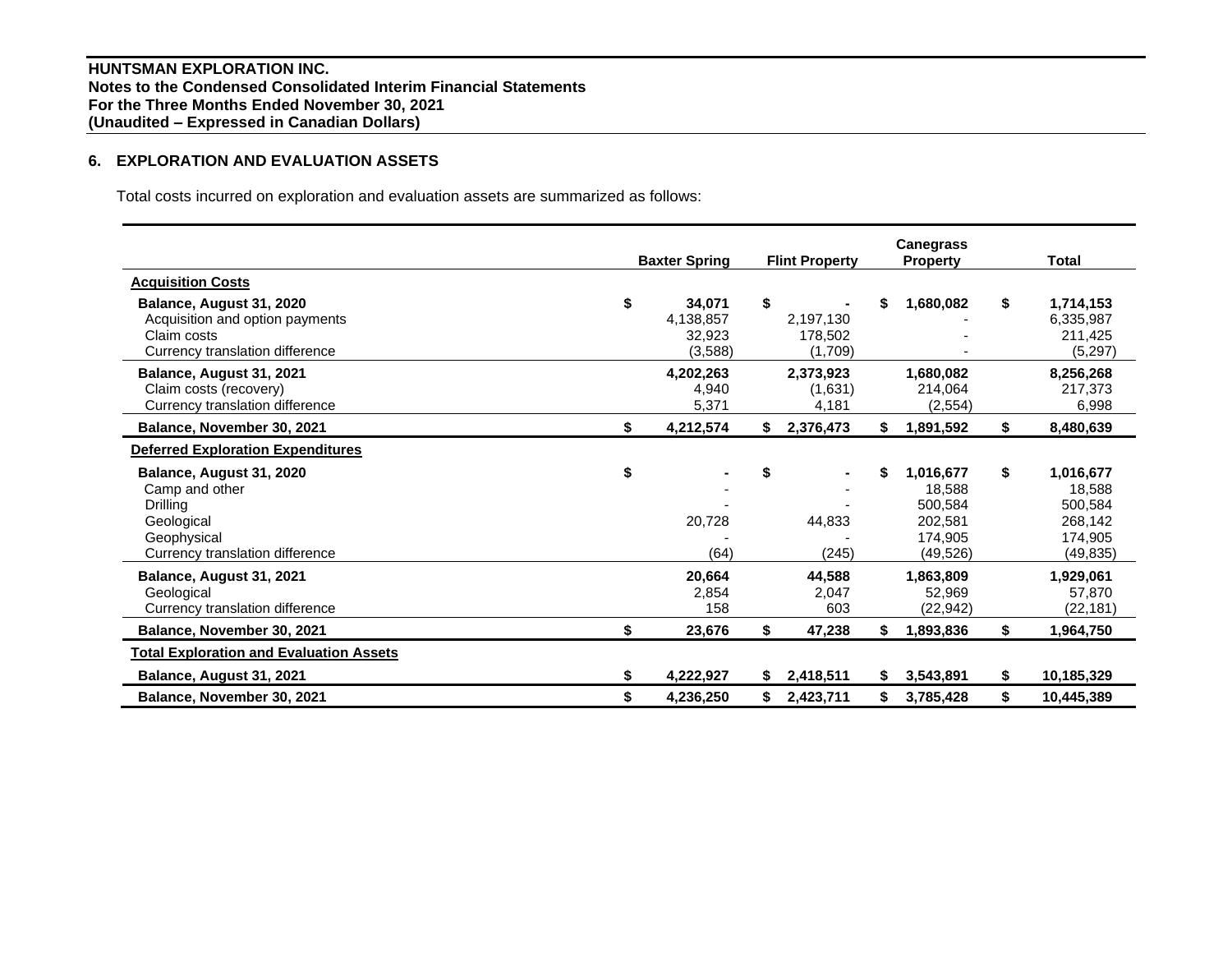# **6. EXPLORATION AND EVALUATION ASSETS**

Total costs incurred on exploration and evaluation assets are summarized as follows:

|                                                                                                                        | <b>Baxter Spring</b>                           | <b>Flint Property</b>                   |    | <b>Canegrass</b><br><b>Property</b>                               |    | Total                                                             |
|------------------------------------------------------------------------------------------------------------------------|------------------------------------------------|-----------------------------------------|----|-------------------------------------------------------------------|----|-------------------------------------------------------------------|
| <b>Acquisition Costs</b>                                                                                               |                                                |                                         |    |                                                                   |    |                                                                   |
| Balance, August 31, 2020<br>Acquisition and option payments<br>Claim costs<br>Currency translation difference          | \$<br>34,071<br>4,138,857<br>32,923<br>(3,588) | \$<br>2,197,130<br>178,502<br>(1,709)   | \$ | 1,680,082                                                         | \$ | 1,714,153<br>6,335,987<br>211,425<br>(5,297)                      |
| Balance, August 31, 2021<br>Claim costs (recovery)<br>Currency translation difference                                  | 4,202,263<br>4,940<br>5,371                    | 2,373,923<br>(1,631)<br>4,181           |    | 1,680,082<br>214,064<br>(2,554)                                   |    | 8,256,268<br>217,373<br>6,998                                     |
| Balance, November 30, 2021                                                                                             | \$<br>4,212,574                                | \$<br>2,376,473                         | \$ | 1,891,592                                                         | \$ | 8,480,639                                                         |
| <b>Deferred Exploration Expenditures</b>                                                                               |                                                |                                         |    |                                                                   |    |                                                                   |
| Balance, August 31, 2020<br>Camp and other<br>Drilling<br>Geological<br>Geophysical<br>Currency translation difference | \$<br>20,728<br>(64)                           | \$<br>$\blacksquare$<br>44,833<br>(245) | \$ | 1,016,677<br>18.588<br>500,584<br>202,581<br>174,905<br>(49, 526) | \$ | 1,016,677<br>18,588<br>500,584<br>268,142<br>174,905<br>(49, 835) |
| Balance, August 31, 2021<br>Geological<br>Currency translation difference                                              | 20,664<br>2,854<br>158                         | 44,588<br>2,047<br>603                  |    | 1,863,809<br>52,969<br>(22, 942)                                  |    | 1,929,061<br>57,870<br>(22, 181)                                  |
| Balance, November 30, 2021                                                                                             | \$<br>23,676                                   | \$<br>47,238                            | \$ | 1,893,836                                                         | \$ | 1,964,750                                                         |
| <b>Total Exploration and Evaluation Assets</b>                                                                         |                                                |                                         |    |                                                                   |    |                                                                   |
| Balance, August 31, 2021                                                                                               | \$<br>4,222,927                                | \$<br>2,418,511                         | S. | 3,543,891                                                         | S. | 10,185,329                                                        |
| Balance, November 30, 2021                                                                                             | \$<br>4,236,250                                | \$<br>2,423,711                         | \$ | 3,785,428                                                         | \$ | 10,445,389                                                        |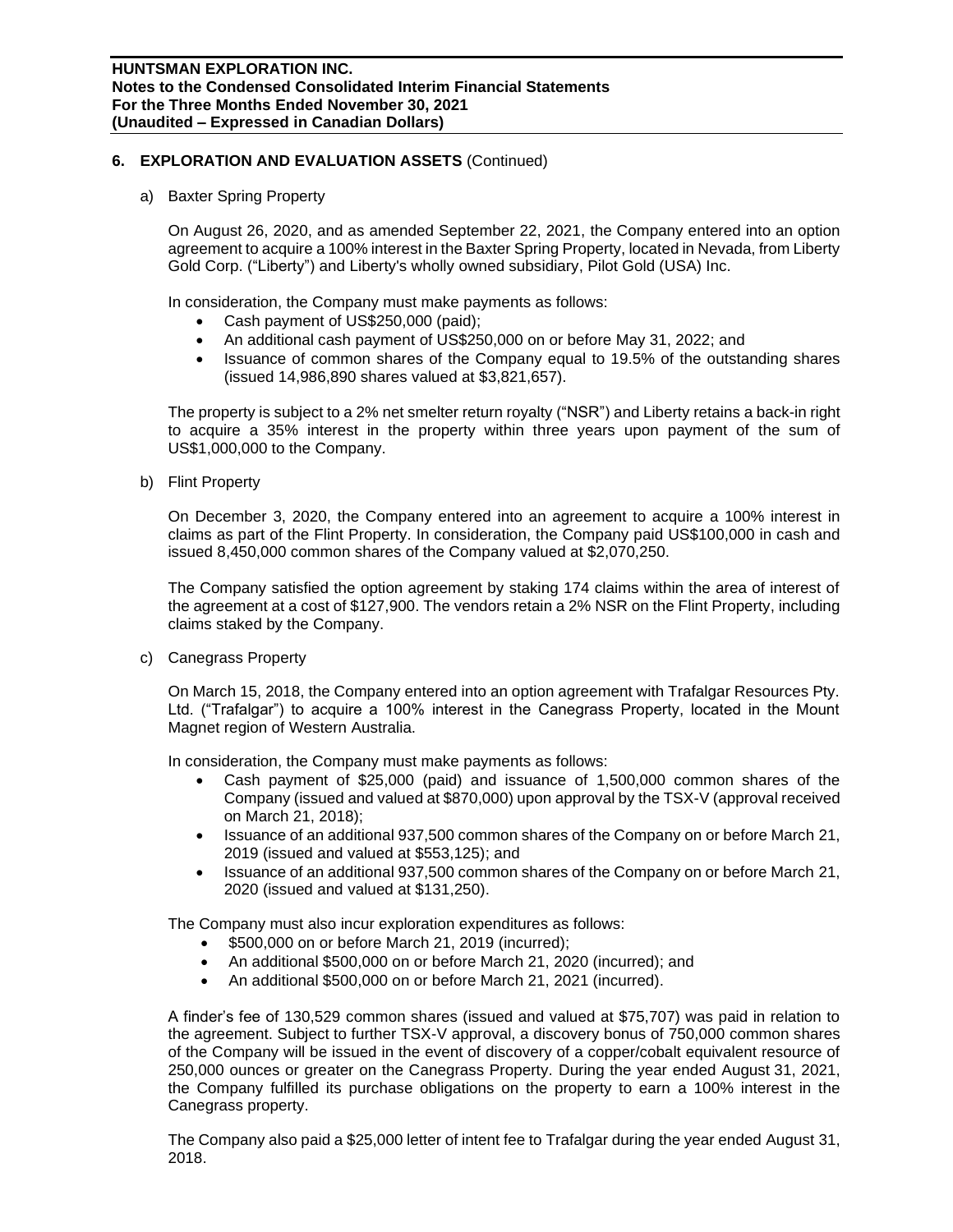## **6. EXPLORATION AND EVALUATION ASSETS** (Continued)

a) Baxter Spring Property

On August 26, 2020, and as amended September 22, 2021, the Company entered into an option agreement to acquire a 100% interest in the Baxter Spring Property, located in Nevada, from Liberty Gold Corp. ("Liberty") and Liberty's wholly owned subsidiary, Pilot Gold (USA) Inc.

In consideration, the Company must make payments as follows:

- Cash payment of US\$250,000 (paid);
- An additional cash payment of US\$250,000 on or before May 31, 2022; and
- Issuance of common shares of the Company equal to 19.5% of the outstanding shares (issued 14,986,890 shares valued at \$3,821,657).

The property is subject to a 2% net smelter return royalty ("NSR") and Liberty retains a back-in right to acquire a 35% interest in the property within three years upon payment of the sum of US\$1,000,000 to the Company.

b) Flint Property

On December 3, 2020, the Company entered into an agreement to acquire a 100% interest in claims as part of the Flint Property. In consideration, the Company paid US\$100,000 in cash and issued 8,450,000 common shares of the Company valued at \$2,070,250.

The Company satisfied the option agreement by staking 174 claims within the area of interest of the agreement at a cost of \$127,900. The vendors retain a 2% NSR on the Flint Property, including claims staked by the Company.

c) Canegrass Property

On March 15, 2018, the Company entered into an option agreement with Trafalgar Resources Pty. Ltd. ("Trafalgar") to acquire a 100% interest in the Canegrass Property, located in the Mount Magnet region of Western Australia.

In consideration, the Company must make payments as follows:

- Cash payment of \$25,000 (paid) and issuance of 1,500,000 common shares of the Company (issued and valued at \$870,000) upon approval by the TSX-V (approval received on March 21, 2018);
- Issuance of an additional 937,500 common shares of the Company on or before March 21, 2019 (issued and valued at \$553,125); and
- Issuance of an additional 937,500 common shares of the Company on or before March 21, 2020 (issued and valued at \$131,250).

The Company must also incur exploration expenditures as follows:

- \$500,000 on or before March 21, 2019 (incurred);
- An additional \$500,000 on or before March 21, 2020 (incurred); and
- An additional \$500,000 on or before March 21, 2021 (incurred).

A finder's fee of 130,529 common shares (issued and valued at \$75,707) was paid in relation to the agreement. Subject to further TSX-V approval, a discovery bonus of 750,000 common shares of the Company will be issued in the event of discovery of a copper/cobalt equivalent resource of 250,000 ounces or greater on the Canegrass Property. During the year ended August 31, 2021, the Company fulfilled its purchase obligations on the property to earn a 100% interest in the Canegrass property.

The Company also paid a \$25,000 letter of intent fee to Trafalgar during the year ended August 31, 2018.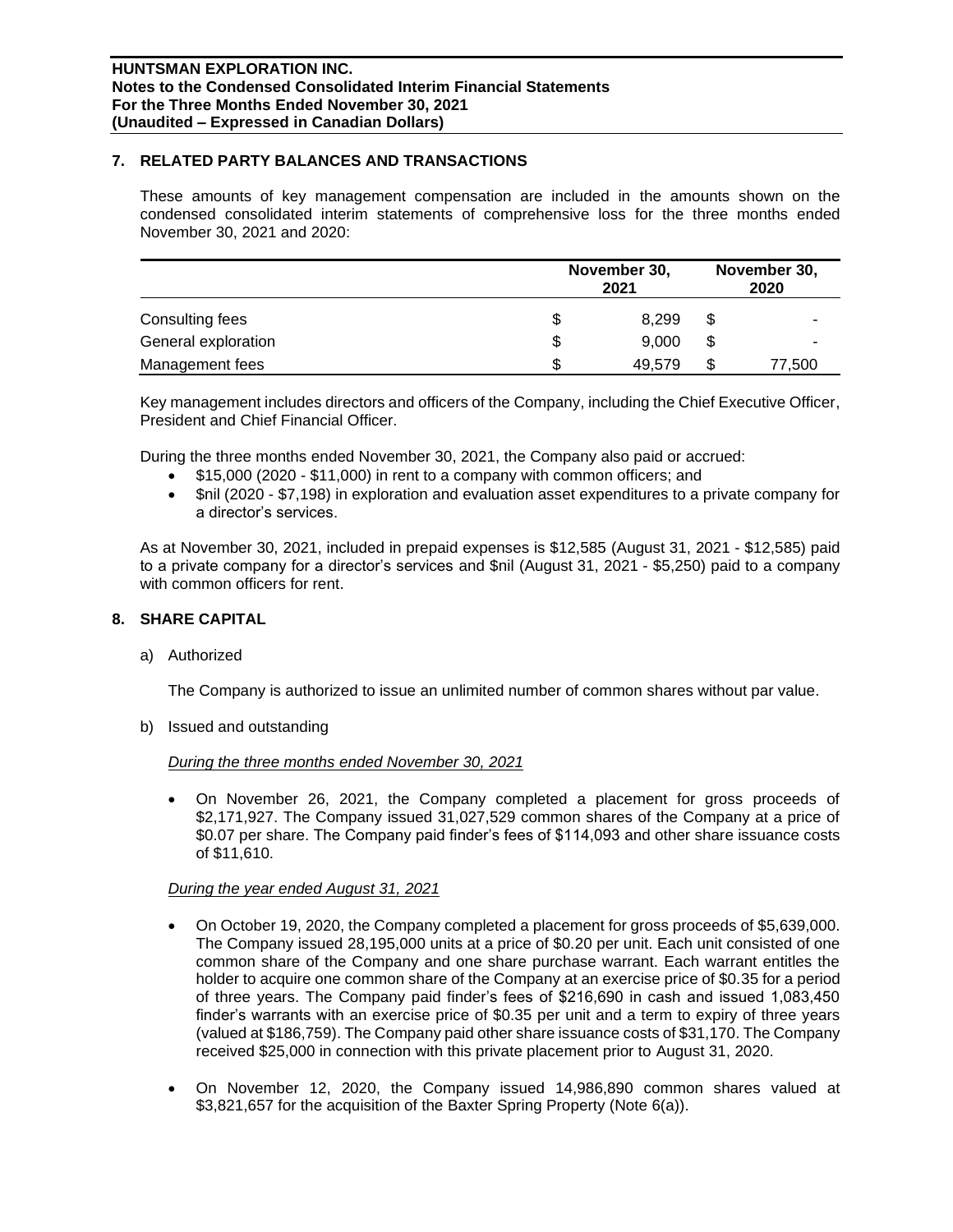## **7. RELATED PARTY BALANCES AND TRANSACTIONS**

These amounts of key management compensation are included in the amounts shown on the condensed consolidated interim statements of comprehensive loss for the three months ended November 30, 2021 and 2020:

|                     | November 30,<br>2021 |    |        |  |
|---------------------|----------------------|----|--------|--|
| Consulting fees     | \$<br>8.299          | S  |        |  |
| General exploration | \$<br>9,000          | \$ |        |  |
| Management fees     | \$<br>49,579         | \$ | 77,500 |  |

Key management includes directors and officers of the Company, including the Chief Executive Officer, President and Chief Financial Officer.

During the three months ended November 30, 2021, the Company also paid or accrued:

- \$15,000 (2020 \$11,000) in rent to a company with common officers; and
- \$nil (2020 \$7,198) in exploration and evaluation asset expenditures to a private company for a director's services.

As at November 30, 2021, included in prepaid expenses is \$12,585 (August 31, 2021 - \$12,585) paid to a private company for a director's services and \$nil (August 31, 2021 - \$5,250) paid to a company with common officers for rent.

# **8. SHARE CAPITAL**

a) Authorized

The Company is authorized to issue an unlimited number of common shares without par value.

b) Issued and outstanding

### *During the three months ended November 30, 2021*

• On November 26, 2021, the Company completed a placement for gross proceeds of \$2,171,927. The Company issued 31,027,529 common shares of the Company at a price of \$0.07 per share. The Company paid finder's fees of \$114,093 and other share issuance costs of \$11,610.

### *During the year ended August 31, 2021*

- On October 19, 2020, the Company completed a placement for gross proceeds of \$5,639,000. The Company issued 28,195,000 units at a price of \$0.20 per unit. Each unit consisted of one common share of the Company and one share purchase warrant. Each warrant entitles the holder to acquire one common share of the Company at an exercise price of \$0.35 for a period of three years. The Company paid finder's fees of \$216,690 in cash and issued 1,083,450 finder's warrants with an exercise price of \$0.35 per unit and a term to expiry of three years (valued at \$186,759). The Company paid other share issuance costs of \$31,170. The Company received \$25,000 in connection with this private placement prior to August 31, 2020.
- On November 12, 2020, the Company issued 14,986,890 common shares valued at \$3,821,657 for the acquisition of the Baxter Spring Property (Note 6(a)).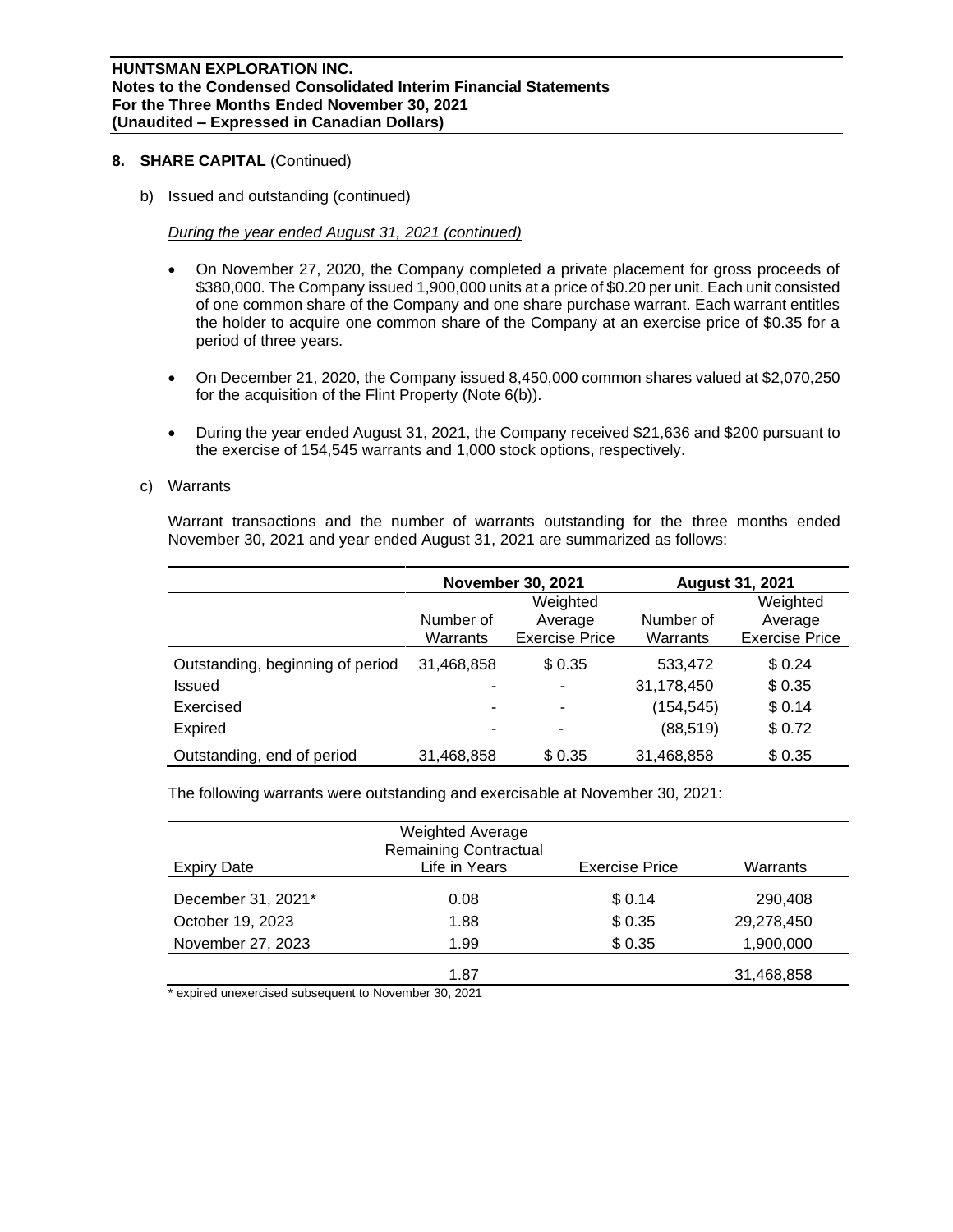#### **HUNTSMAN EXPLORATION INC. Notes to the Condensed Consolidated Interim Financial Statements For the Three Months Ended November 30, 2021 (Unaudited – Expressed in Canadian Dollars)**

#### **8. SHARE CAPITAL** (Continued)

b) Issued and outstanding (continued)

## *During the year ended August 31, 2021 (continued)*

- On November 27, 2020, the Company completed a private placement for gross proceeds of \$380,000. The Company issued 1,900,000 units at a price of \$0.20 per unit. Each unit consisted of one common share of the Company and one share purchase warrant. Each warrant entitles the holder to acquire one common share of the Company at an exercise price of \$0.35 for a period of three years.
- On December 21, 2020, the Company issued 8,450,000 common shares valued at \$2,070,250 for the acquisition of the Flint Property (Note 6(b)).
- During the year ended August 31, 2021, the Company received \$21,636 and \$200 pursuant to the exercise of 154,545 warrants and 1,000 stock options, respectively.

### c) Warrants

Warrant transactions and the number of warrants outstanding for the three months ended November 30, 2021 and year ended August 31, 2021 are summarized as follows:

|                                  |            | <b>November 30, 2021</b> | <b>August 31, 2021</b> |                       |  |  |
|----------------------------------|------------|--------------------------|------------------------|-----------------------|--|--|
|                                  |            | Weighted                 |                        | Weighted              |  |  |
|                                  | Number of  | Average                  | Number of              | Average               |  |  |
|                                  | Warrants   | <b>Exercise Price</b>    | Warrants               | <b>Exercise Price</b> |  |  |
| Outstanding, beginning of period | 31,468,858 | \$ 0.35                  | 533,472                | \$0.24                |  |  |
| Issued                           |            |                          | 31,178,450             | \$0.35                |  |  |
| Exercised                        |            | ۰                        | (154, 545)             | \$0.14                |  |  |
| <b>Expired</b>                   |            |                          | (88, 519)              | \$0.72                |  |  |
| Outstanding, end of period       | 31,468,858 | \$0.35                   | 31,468,858             | \$0.35                |  |  |

The following warrants were outstanding and exercisable at November 30, 2021:

| Expiry Date        | <b>Weighted Average</b><br><b>Remaining Contractual</b><br>Life in Years | <b>Exercise Price</b> | Warrants   |
|--------------------|--------------------------------------------------------------------------|-----------------------|------------|
| December 31, 2021* | 0.08                                                                     | \$0.14                | 290,408    |
| October 19, 2023   | 1.88                                                                     | \$0.35                | 29,278,450 |
| November 27, 2023  | 1.99                                                                     | \$0.35                | 1,900,000  |
|                    | 1.87                                                                     |                       | 31,468,858 |

expired unexercised subsequent to November 30, 2021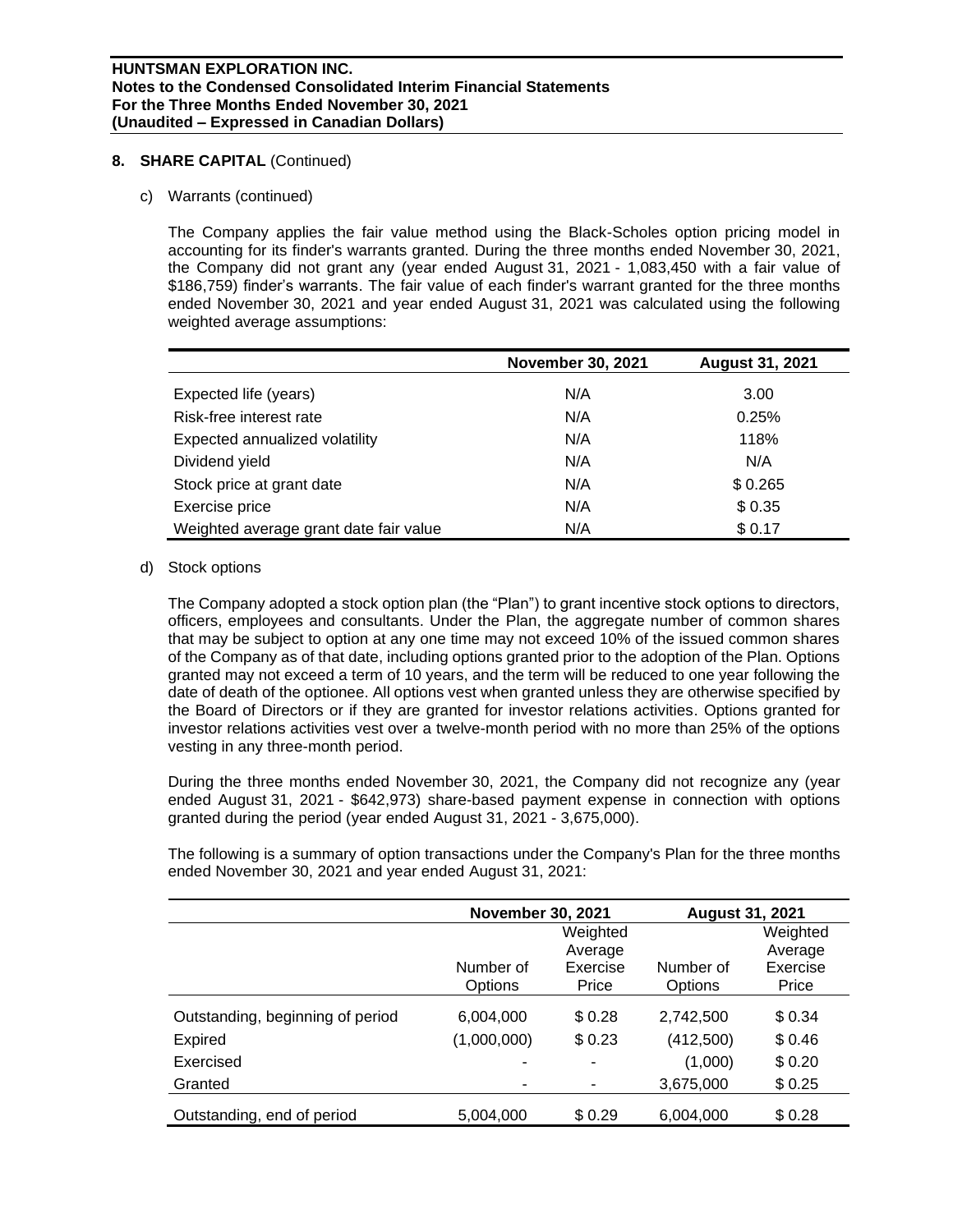## **8. SHARE CAPITAL** (Continued)

c) Warrants (continued)

The Company applies the fair value method using the Black-Scholes option pricing model in accounting for its finder's warrants granted. During the three months ended November 30, 2021, the Company did not grant any (year ended August 31, 2021 - 1,083,450 with a fair value of \$186,759) finder's warrants. The fair value of each finder's warrant granted for the three months ended November 30, 2021 and year ended August 31, 2021 was calculated using the following weighted average assumptions:

|                                        | <b>November 30, 2021</b> | <b>August 31, 2021</b> |
|----------------------------------------|--------------------------|------------------------|
| Expected life (years)                  | N/A                      | 3.00                   |
| Risk-free interest rate                | N/A                      | 0.25%                  |
| Expected annualized volatility         | N/A                      | 118%                   |
| Dividend yield                         | N/A                      | N/A                    |
| Stock price at grant date              | N/A                      | \$0.265                |
| Exercise price                         | N/A                      | \$0.35                 |
| Weighted average grant date fair value | N/A                      | \$0.17                 |

d) Stock options

The Company adopted a stock option plan (the "Plan") to grant incentive stock options to directors, officers, employees and consultants. Under the Plan, the aggregate number of common shares that may be subject to option at any one time may not exceed 10% of the issued common shares of the Company as of that date, including options granted prior to the adoption of the Plan. Options granted may not exceed a term of 10 years, and the term will be reduced to one year following the date of death of the optionee. All options vest when granted unless they are otherwise specified by the Board of Directors or if they are granted for investor relations activities. Options granted for investor relations activities vest over a twelve-month period with no more than 25% of the options vesting in any three-month period.

During the three months ended November 30, 2021, the Company did not recognize any (year ended August 31, 2021 - \$642,973) share-based payment expense in connection with options granted during the period (year ended August 31, 2021 - 3,675,000).

The following is a summary of option transactions under the Company's Plan for the three months ended November 30, 2021 and year ended August 31, 2021:

|                                  | <b>November 30, 2021</b> |          | <b>August 31, 2021</b> |          |
|----------------------------------|--------------------------|----------|------------------------|----------|
|                                  |                          | Weighted |                        | Weighted |
|                                  |                          | Average  |                        | Average  |
|                                  | Number of                | Exercise | Number of              | Exercise |
|                                  | <b>Options</b>           | Price    | Options                | Price    |
| Outstanding, beginning of period | 6,004,000                | \$0.28   | 2,742,500              | \$0.34   |
| <b>Expired</b>                   | (1,000,000)              | \$0.23   | (412,500)              | \$0.46   |
| Exercised                        | -                        | ۰        | (1,000)                | \$0.20   |
| Granted                          |                          | -        | 3,675,000              | \$0.25   |
| Outstanding, end of period       | 5,004,000                | \$0.29   | 6,004,000              | \$0.28   |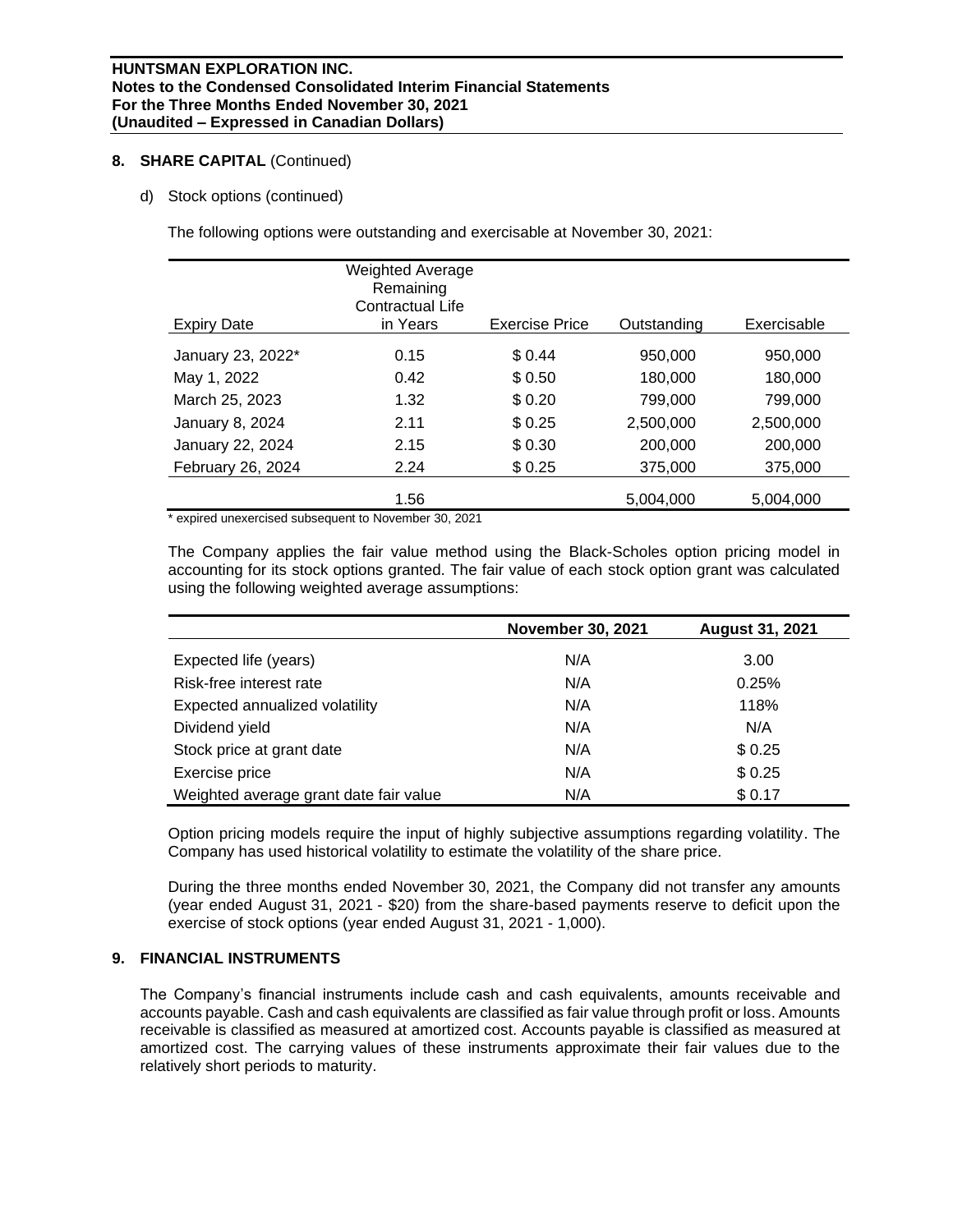### **8. SHARE CAPITAL** (Continued)

d) Stock options (continued)

The following options were outstanding and exercisable at November 30, 2021:

| <b>Expiry Date</b> | <b>Weighted Average</b><br>Remaining<br>Contractual Life<br>in Years | <b>Exercise Price</b> | Outstanding | Exercisable |
|--------------------|----------------------------------------------------------------------|-----------------------|-------------|-------------|
| January 23, 2022*  | 0.15                                                                 | \$0.44                | 950.000     | 950,000     |
| May 1, 2022        | 0.42                                                                 | \$ 0.50               | 180,000     | 180,000     |
| March 25, 2023     | 1.32                                                                 | \$0.20                | 799,000     | 799,000     |
|                    |                                                                      |                       |             |             |
| January 8, 2024    | 2.11                                                                 | \$0.25                | 2,500,000   | 2,500,000   |
| January 22, 2024   | 2.15                                                                 | \$0.30                | 200,000     | 200,000     |
| February 26, 2024  | 2.24                                                                 | \$0.25                | 375,000     | 375,000     |
|                    | 1.56                                                                 |                       | 5,004,000   | 5,004,000   |

\* expired unexercised subsequent to November 30, 2021

The Company applies the fair value method using the Black-Scholes option pricing model in accounting for its stock options granted. The fair value of each stock option grant was calculated using the following weighted average assumptions:

|                                        | <b>November 30, 2021</b> | <b>August 31, 2021</b> |
|----------------------------------------|--------------------------|------------------------|
| Expected life (years)                  | N/A                      | 3.00                   |
| Risk-free interest rate                | N/A                      | 0.25%                  |
| Expected annualized volatility         | N/A                      | 118%                   |
| Dividend yield                         | N/A                      | N/A                    |
| Stock price at grant date              | N/A                      | \$0.25                 |
| Exercise price                         | N/A                      | \$0.25                 |
| Weighted average grant date fair value | N/A                      | \$0.17                 |

Option pricing models require the input of highly subjective assumptions regarding volatility. The Company has used historical volatility to estimate the volatility of the share price.

During the three months ended November 30, 2021, the Company did not transfer any amounts (year ended August 31, 2021 - \$20) from the share-based payments reserve to deficit upon the exercise of stock options (year ended August 31, 2021 - 1,000).

# **9. FINANCIAL INSTRUMENTS**

The Company's financial instruments include cash and cash equivalents, amounts receivable and accounts payable. Cash and cash equivalents are classified as fair value through profit or loss. Amounts receivable is classified as measured at amortized cost. Accounts payable is classified as measured at amortized cost. The carrying values of these instruments approximate their fair values due to the relatively short periods to maturity.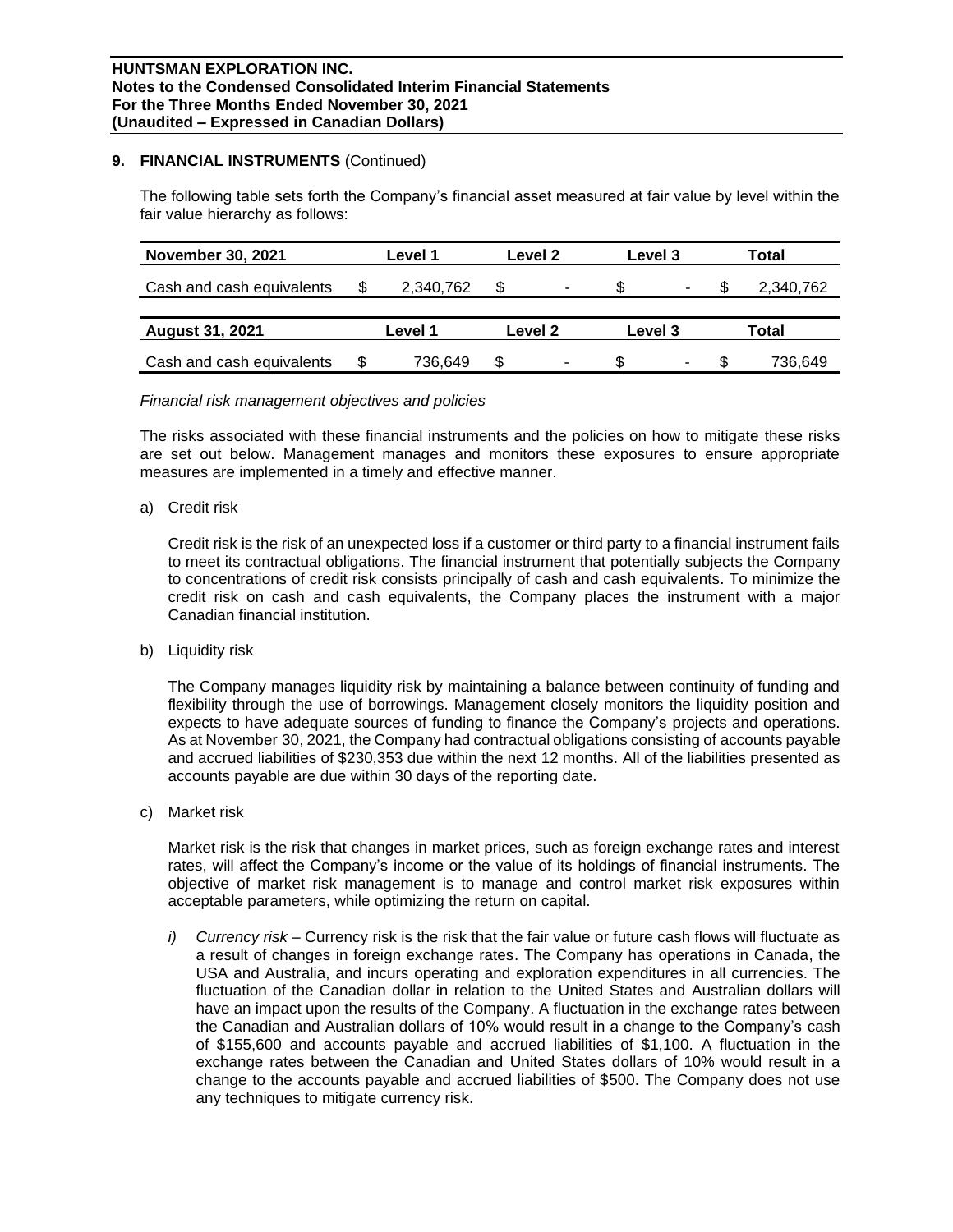#### **9. FINANCIAL INSTRUMENTS** (Continued)

The following table sets forth the Company's financial asset measured at fair value by level within the fair value hierarchy as follows:

| <b>November 30, 2021</b>  | Level 1   |         | Level 2                  |         | Level 3 |       | Total     |  |
|---------------------------|-----------|---------|--------------------------|---------|---------|-------|-----------|--|
| Cash and cash equivalents | 2,340,762 | \$      | $\overline{\phantom{a}}$ |         | ۰       |       | 2,340,762 |  |
|                           |           |         |                          |         |         |       |           |  |
| <b>August 31, 2021</b>    | Level 1   | Level 2 |                          | Level 3 |         | Total |           |  |
| Cash and cash equivalents | 736,649   | \$      | ٠                        |         | ۰       |       | 736,649   |  |

#### *Financial risk management objectives and policies*

The risks associated with these financial instruments and the policies on how to mitigate these risks are set out below. Management manages and monitors these exposures to ensure appropriate measures are implemented in a timely and effective manner.

#### a) Credit risk

Credit risk is the risk of an unexpected loss if a customer or third party to a financial instrument fails to meet its contractual obligations. The financial instrument that potentially subjects the Company to concentrations of credit risk consists principally of cash and cash equivalents. To minimize the credit risk on cash and cash equivalents, the Company places the instrument with a major Canadian financial institution.

b) Liquidity risk

The Company manages liquidity risk by maintaining a balance between continuity of funding and flexibility through the use of borrowings. Management closely monitors the liquidity position and expects to have adequate sources of funding to finance the Company's projects and operations. As at November 30, 2021, the Company had contractual obligations consisting of accounts payable and accrued liabilities of \$230,353 due within the next 12 months. All of the liabilities presented as accounts payable are due within 30 days of the reporting date.

c) Market risk

Market risk is the risk that changes in market prices, such as foreign exchange rates and interest rates, will affect the Company's income or the value of its holdings of financial instruments. The objective of market risk management is to manage and control market risk exposures within acceptable parameters, while optimizing the return on capital.

*i) Currency risk –* Currency risk is the risk that the fair value or future cash flows will fluctuate as a result of changes in foreign exchange rates. The Company has operations in Canada, the USA and Australia, and incurs operating and exploration expenditures in all currencies. The fluctuation of the Canadian dollar in relation to the United States and Australian dollars will have an impact upon the results of the Company. A fluctuation in the exchange rates between the Canadian and Australian dollars of 10% would result in a change to the Company's cash of \$155,600 and accounts payable and accrued liabilities of \$1,100. A fluctuation in the exchange rates between the Canadian and United States dollars of 10% would result in a change to the accounts payable and accrued liabilities of \$500. The Company does not use any techniques to mitigate currency risk.